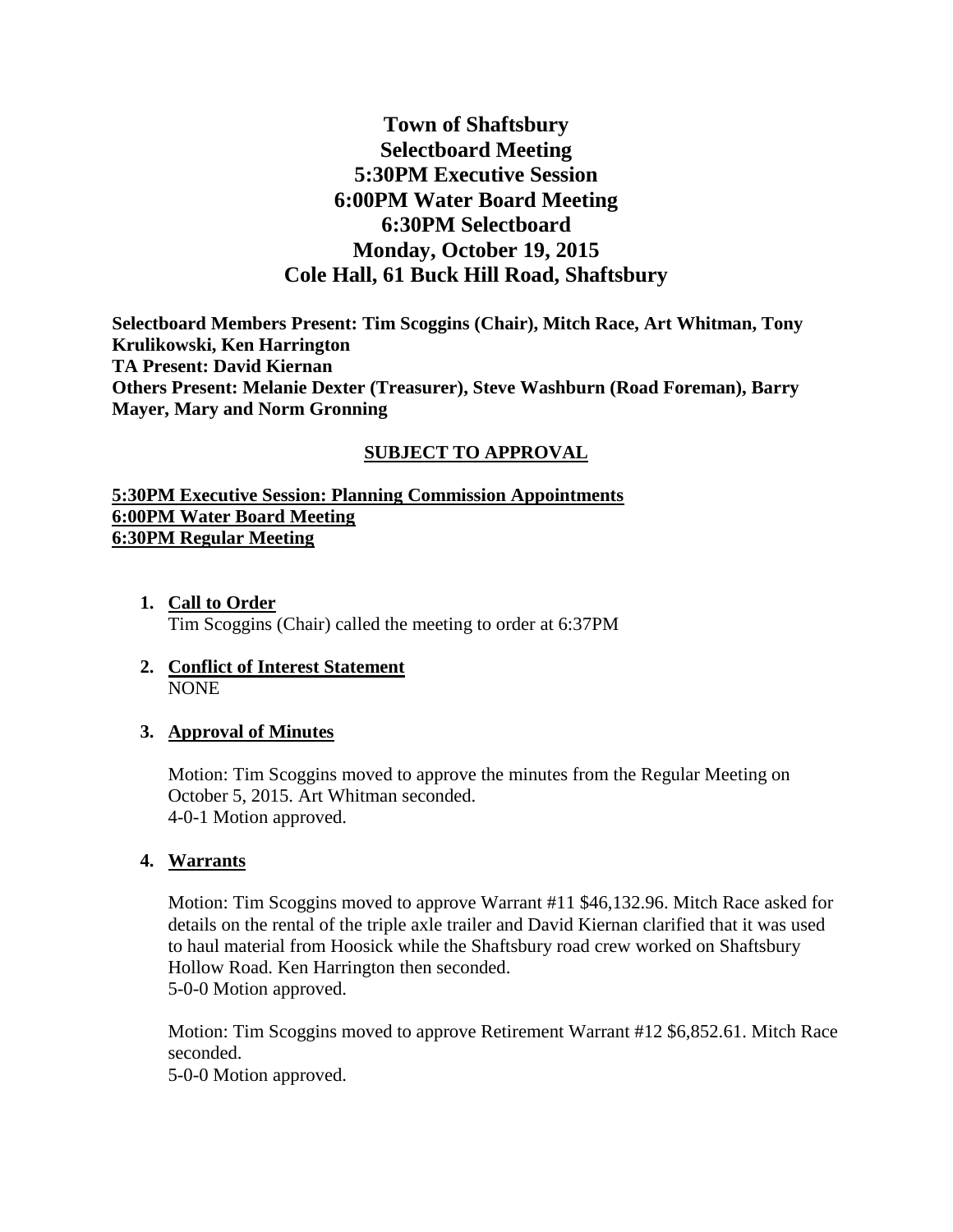# **Town of Shaftsbury Selectboard Meeting 5:30PM Executive Session 6:00PM Water Board Meeting 6:30PM Selectboard Monday, October 19, 2015 Cole Hall, 61 Buck Hill Road, Shaftsbury**

**Selectboard Members Present: Tim Scoggins (Chair), Mitch Race, Art Whitman, Tony Krulikowski, Ken Harrington TA Present: David Kiernan Others Present: Melanie Dexter (Treasurer), Steve Washburn (Road Foreman), Barry Mayer, Mary and Norm Gronning**

### **SUBJECT TO APPROVAL**

### **5:30PM Executive Session: Planning Commission Appointments 6:00PM Water Board Meeting 6:30PM Regular Meeting**

- **1. Call to Order** Tim Scoggins (Chair) called the meeting to order at 6:37PM
- **2. Conflict of Interest Statement** NONE

### **3. Approval of Minutes**

Motion: Tim Scoggins moved to approve the minutes from the Regular Meeting on October 5, 2015. Art Whitman seconded. 4-0-1 Motion approved.

#### **4. Warrants**

Motion: Tim Scoggins moved to approve Warrant #11 \$46,132.96. Mitch Race asked for details on the rental of the triple axle trailer and David Kiernan clarified that it was used to haul material from Hoosick while the Shaftsbury road crew worked on Shaftsbury Hollow Road. Ken Harrington then seconded. 5-0-0 Motion approved.

Motion: Tim Scoggins moved to approve Retirement Warrant #12 \$6,852.61. Mitch Race seconded.

5-0-0 Motion approved.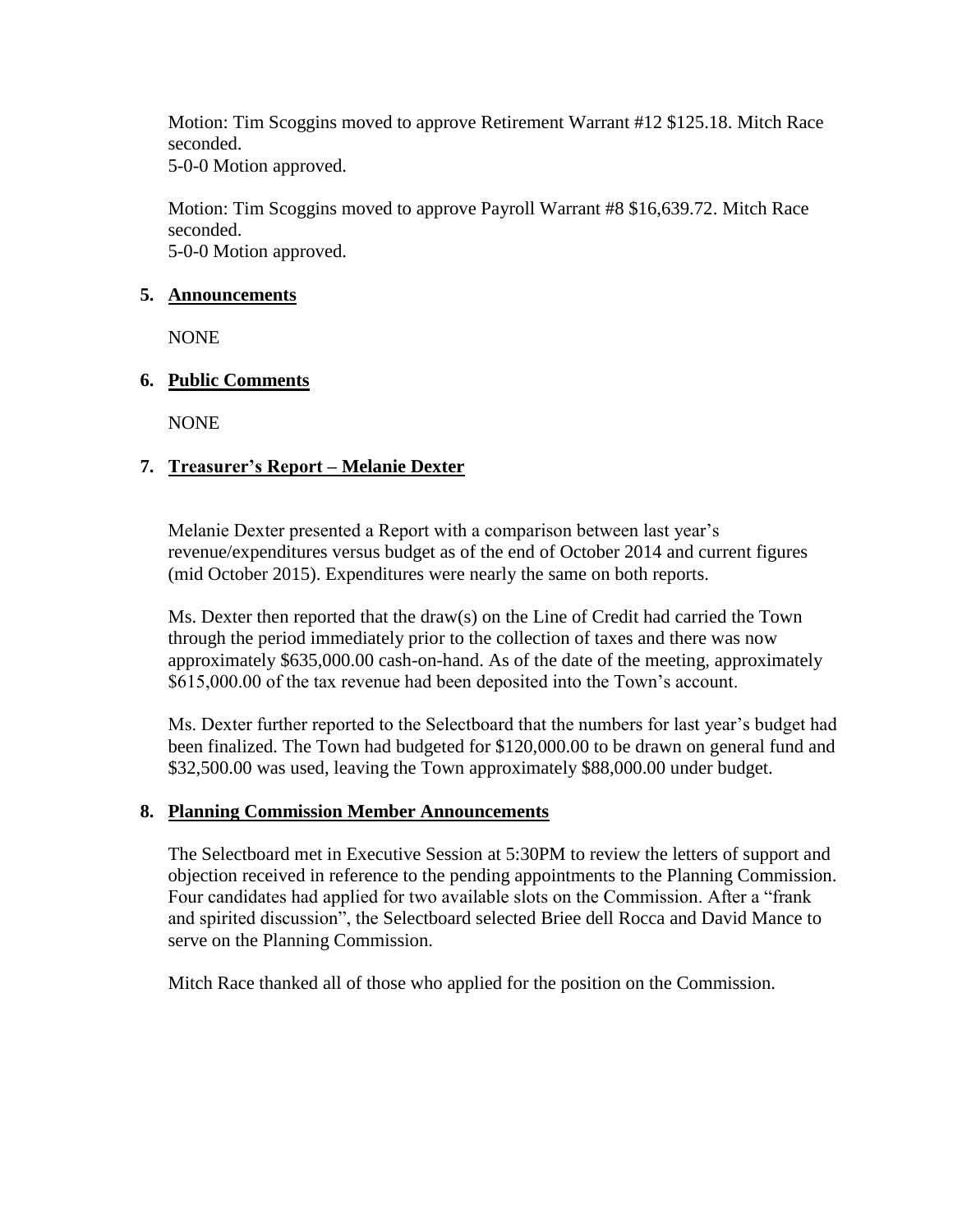Motion: Tim Scoggins moved to approve Retirement Warrant #12 \$125.18. Mitch Race seconded.

5-0-0 Motion approved.

Motion: Tim Scoggins moved to approve Payroll Warrant #8 \$16,639.72. Mitch Race seconded. 5-0-0 Motion approved.

### **5. Announcements**

NONE

# **6. Public Comments**

NONE

# **7. Treasurer's Report – Melanie Dexter**

Melanie Dexter presented a Report with a comparison between last year's revenue/expenditures versus budget as of the end of October 2014 and current figures (mid October 2015). Expenditures were nearly the same on both reports.

Ms. Dexter then reported that the draw(s) on the Line of Credit had carried the Town through the period immediately prior to the collection of taxes and there was now approximately \$635,000.00 cash-on-hand. As of the date of the meeting, approximately \$615,000.00 of the tax revenue had been deposited into the Town's account.

Ms. Dexter further reported to the Selectboard that the numbers for last year's budget had been finalized. The Town had budgeted for \$120,000.00 to be drawn on general fund and \$32,500.00 was used, leaving the Town approximately \$88,000.00 under budget.

### **8. Planning Commission Member Announcements**

The Selectboard met in Executive Session at 5:30PM to review the letters of support and objection received in reference to the pending appointments to the Planning Commission. Four candidates had applied for two available slots on the Commission. After a "frank and spirited discussion", the Selectboard selected Briee dell Rocca and David Mance to serve on the Planning Commission.

Mitch Race thanked all of those who applied for the position on the Commission.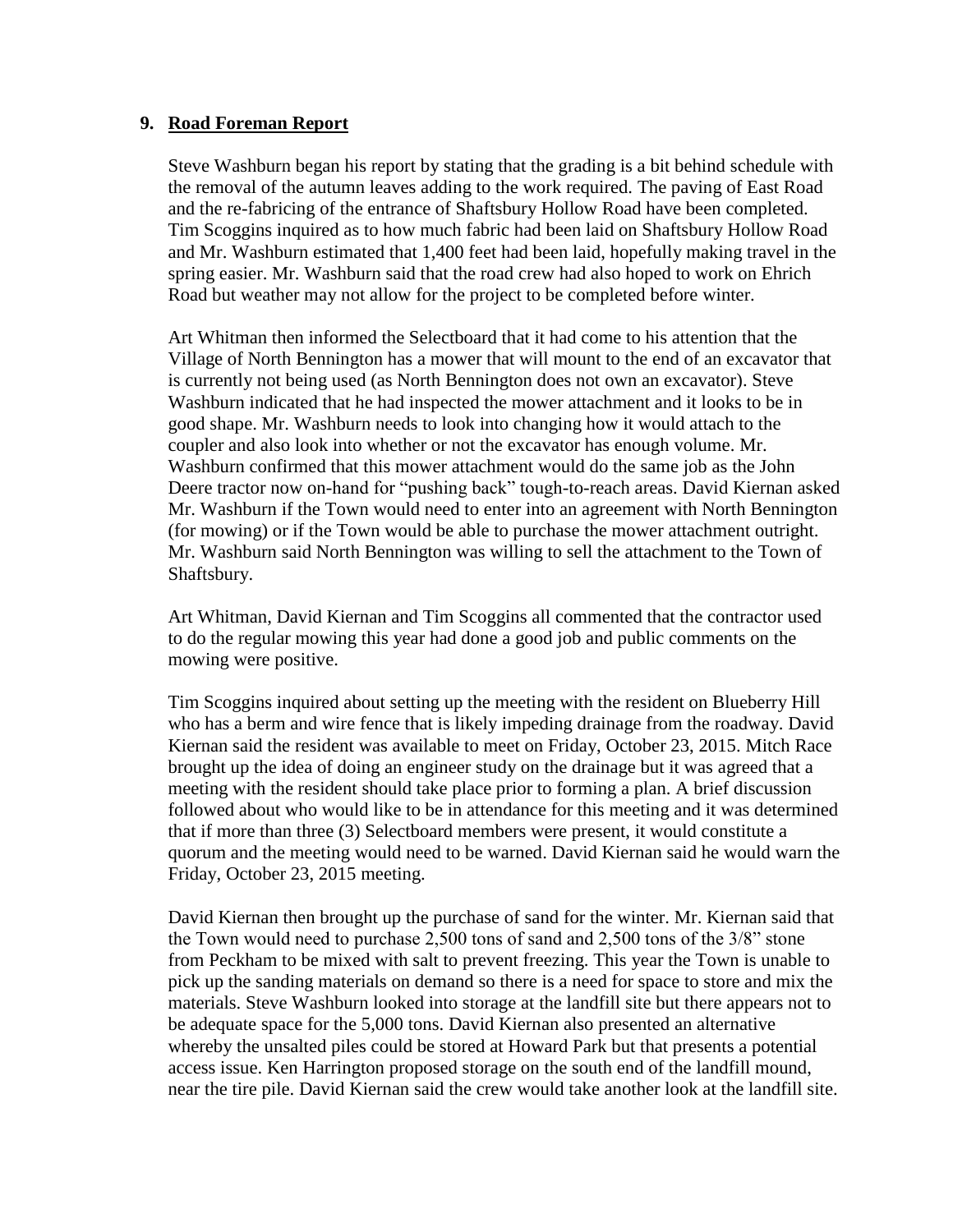#### **9. Road Foreman Report**

Steve Washburn began his report by stating that the grading is a bit behind schedule with the removal of the autumn leaves adding to the work required. The paving of East Road and the re-fabricing of the entrance of Shaftsbury Hollow Road have been completed. Tim Scoggins inquired as to how much fabric had been laid on Shaftsbury Hollow Road and Mr. Washburn estimated that 1,400 feet had been laid, hopefully making travel in the spring easier. Mr. Washburn said that the road crew had also hoped to work on Ehrich Road but weather may not allow for the project to be completed before winter.

Art Whitman then informed the Selectboard that it had come to his attention that the Village of North Bennington has a mower that will mount to the end of an excavator that is currently not being used (as North Bennington does not own an excavator). Steve Washburn indicated that he had inspected the mower attachment and it looks to be in good shape. Mr. Washburn needs to look into changing how it would attach to the coupler and also look into whether or not the excavator has enough volume. Mr. Washburn confirmed that this mower attachment would do the same job as the John Deere tractor now on-hand for "pushing back" tough-to-reach areas. David Kiernan asked Mr. Washburn if the Town would need to enter into an agreement with North Bennington (for mowing) or if the Town would be able to purchase the mower attachment outright. Mr. Washburn said North Bennington was willing to sell the attachment to the Town of Shaftsbury.

Art Whitman, David Kiernan and Tim Scoggins all commented that the contractor used to do the regular mowing this year had done a good job and public comments on the mowing were positive.

Tim Scoggins inquired about setting up the meeting with the resident on Blueberry Hill who has a berm and wire fence that is likely impeding drainage from the roadway. David Kiernan said the resident was available to meet on Friday, October 23, 2015. Mitch Race brought up the idea of doing an engineer study on the drainage but it was agreed that a meeting with the resident should take place prior to forming a plan. A brief discussion followed about who would like to be in attendance for this meeting and it was determined that if more than three (3) Selectboard members were present, it would constitute a quorum and the meeting would need to be warned. David Kiernan said he would warn the Friday, October 23, 2015 meeting.

David Kiernan then brought up the purchase of sand for the winter. Mr. Kiernan said that the Town would need to purchase 2,500 tons of sand and 2,500 tons of the 3/8" stone from Peckham to be mixed with salt to prevent freezing. This year the Town is unable to pick up the sanding materials on demand so there is a need for space to store and mix the materials. Steve Washburn looked into storage at the landfill site but there appears not to be adequate space for the 5,000 tons. David Kiernan also presented an alternative whereby the unsalted piles could be stored at Howard Park but that presents a potential access issue. Ken Harrington proposed storage on the south end of the landfill mound, near the tire pile. David Kiernan said the crew would take another look at the landfill site.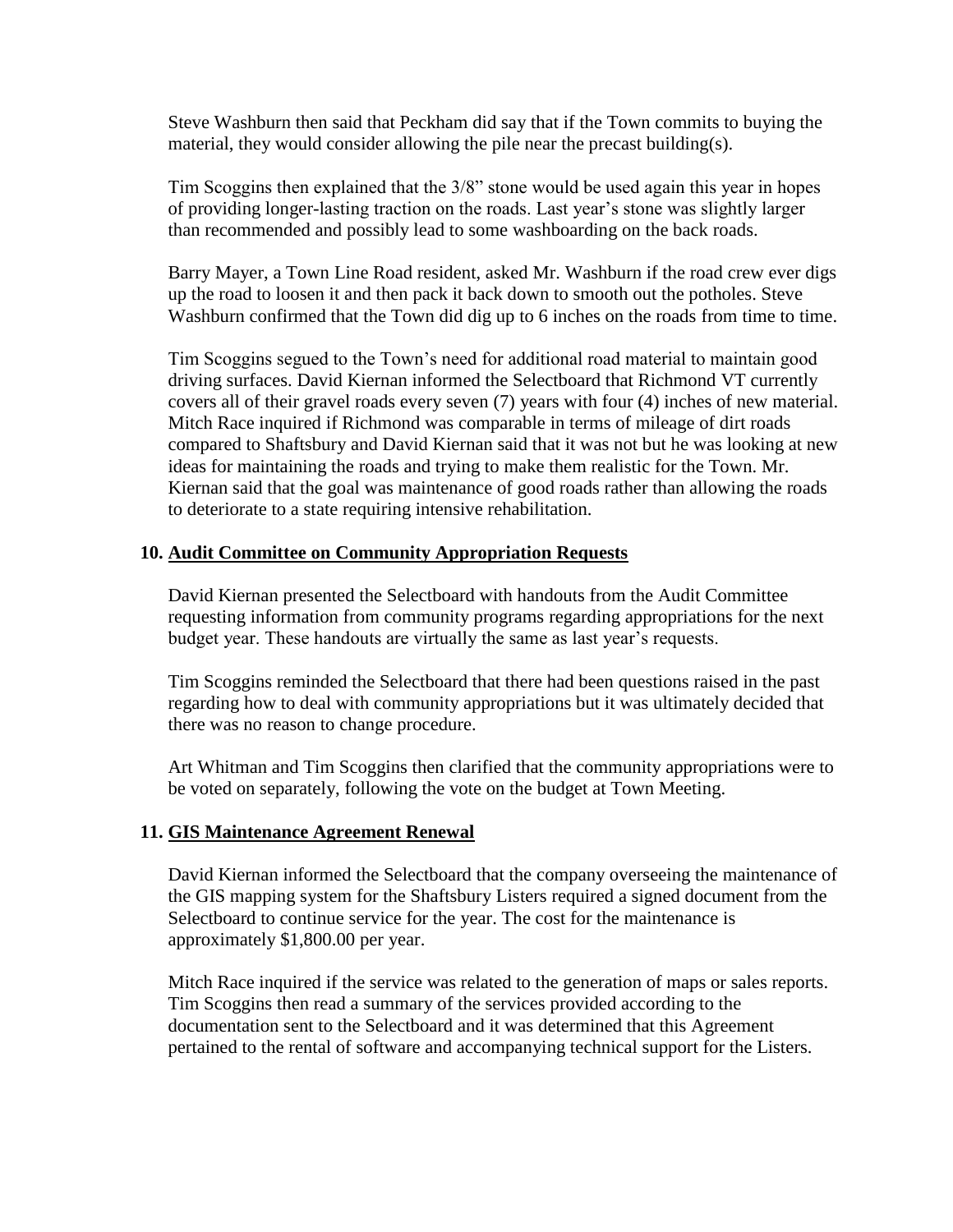Steve Washburn then said that Peckham did say that if the Town commits to buying the material, they would consider allowing the pile near the precast building(s).

Tim Scoggins then explained that the 3/8" stone would be used again this year in hopes of providing longer-lasting traction on the roads. Last year's stone was slightly larger than recommended and possibly lead to some washboarding on the back roads.

Barry Mayer, a Town Line Road resident, asked Mr. Washburn if the road crew ever digs up the road to loosen it and then pack it back down to smooth out the potholes. Steve Washburn confirmed that the Town did dig up to 6 inches on the roads from time to time.

Tim Scoggins segued to the Town's need for additional road material to maintain good driving surfaces. David Kiernan informed the Selectboard that Richmond VT currently covers all of their gravel roads every seven (7) years with four (4) inches of new material. Mitch Race inquired if Richmond was comparable in terms of mileage of dirt roads compared to Shaftsbury and David Kiernan said that it was not but he was looking at new ideas for maintaining the roads and trying to make them realistic for the Town. Mr. Kiernan said that the goal was maintenance of good roads rather than allowing the roads to deteriorate to a state requiring intensive rehabilitation.

#### **10. Audit Committee on Community Appropriation Requests**

David Kiernan presented the Selectboard with handouts from the Audit Committee requesting information from community programs regarding appropriations for the next budget year. These handouts are virtually the same as last year's requests.

Tim Scoggins reminded the Selectboard that there had been questions raised in the past regarding how to deal with community appropriations but it was ultimately decided that there was no reason to change procedure.

Art Whitman and Tim Scoggins then clarified that the community appropriations were to be voted on separately, following the vote on the budget at Town Meeting.

#### **11. GIS Maintenance Agreement Renewal**

David Kiernan informed the Selectboard that the company overseeing the maintenance of the GIS mapping system for the Shaftsbury Listers required a signed document from the Selectboard to continue service for the year. The cost for the maintenance is approximately \$1,800.00 per year.

Mitch Race inquired if the service was related to the generation of maps or sales reports. Tim Scoggins then read a summary of the services provided according to the documentation sent to the Selectboard and it was determined that this Agreement pertained to the rental of software and accompanying technical support for the Listers.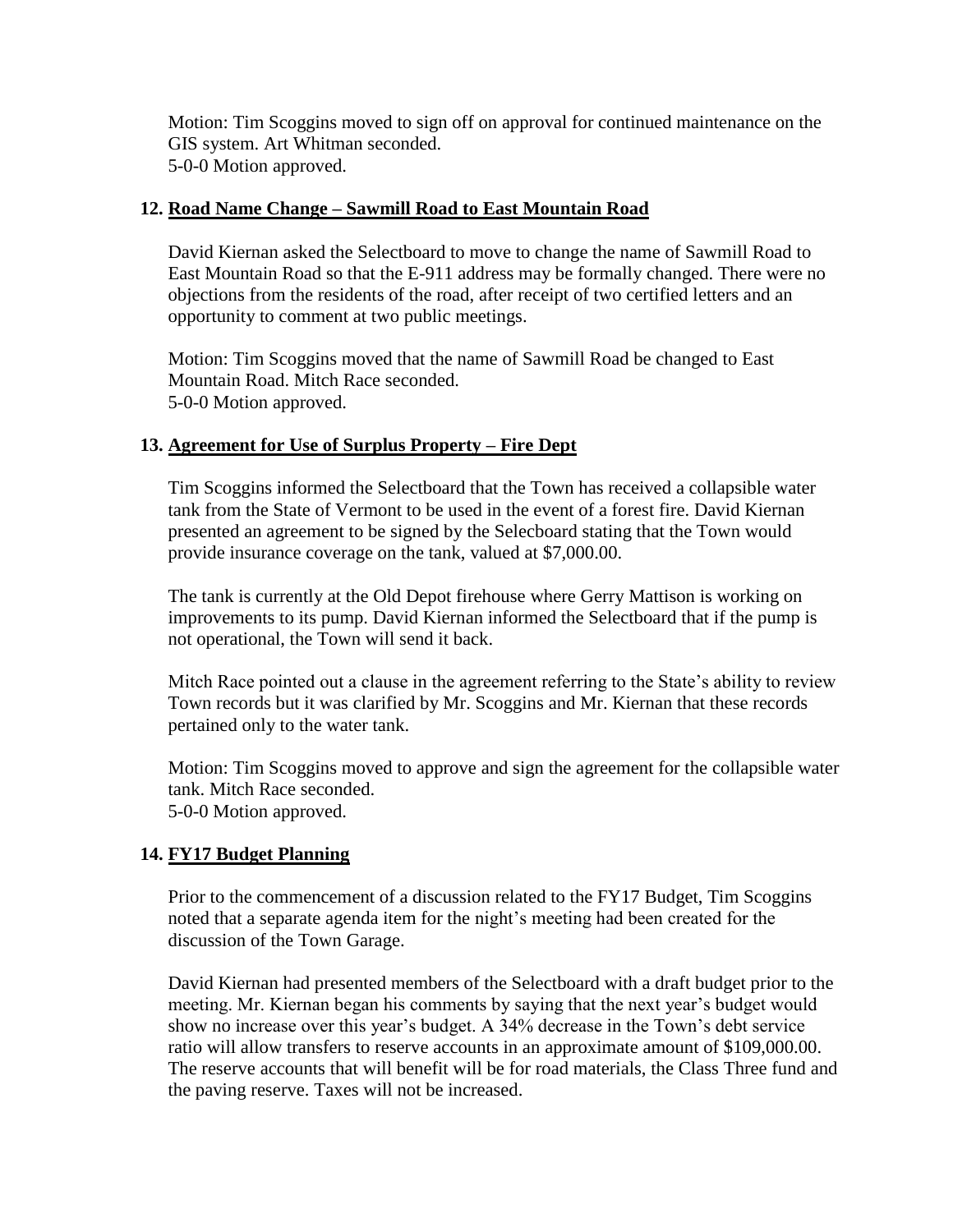Motion: Tim Scoggins moved to sign off on approval for continued maintenance on the GIS system. Art Whitman seconded. 5-0-0 Motion approved.

#### **12. Road Name Change – Sawmill Road to East Mountain Road**

David Kiernan asked the Selectboard to move to change the name of Sawmill Road to East Mountain Road so that the E-911 address may be formally changed. There were no objections from the residents of the road, after receipt of two certified letters and an opportunity to comment at two public meetings.

Motion: Tim Scoggins moved that the name of Sawmill Road be changed to East Mountain Road. Mitch Race seconded. 5-0-0 Motion approved.

### **13. Agreement for Use of Surplus Property – Fire Dept**

Tim Scoggins informed the Selectboard that the Town has received a collapsible water tank from the State of Vermont to be used in the event of a forest fire. David Kiernan presented an agreement to be signed by the Selecboard stating that the Town would provide insurance coverage on the tank, valued at \$7,000.00.

The tank is currently at the Old Depot firehouse where Gerry Mattison is working on improvements to its pump. David Kiernan informed the Selectboard that if the pump is not operational, the Town will send it back.

Mitch Race pointed out a clause in the agreement referring to the State's ability to review Town records but it was clarified by Mr. Scoggins and Mr. Kiernan that these records pertained only to the water tank.

Motion: Tim Scoggins moved to approve and sign the agreement for the collapsible water tank. Mitch Race seconded. 5-0-0 Motion approved.

### **14. FY17 Budget Planning**

Prior to the commencement of a discussion related to the FY17 Budget, Tim Scoggins noted that a separate agenda item for the night's meeting had been created for the discussion of the Town Garage.

David Kiernan had presented members of the Selectboard with a draft budget prior to the meeting. Mr. Kiernan began his comments by saying that the next year's budget would show no increase over this year's budget. A 34% decrease in the Town's debt service ratio will allow transfers to reserve accounts in an approximate amount of \$109,000.00. The reserve accounts that will benefit will be for road materials, the Class Three fund and the paving reserve. Taxes will not be increased.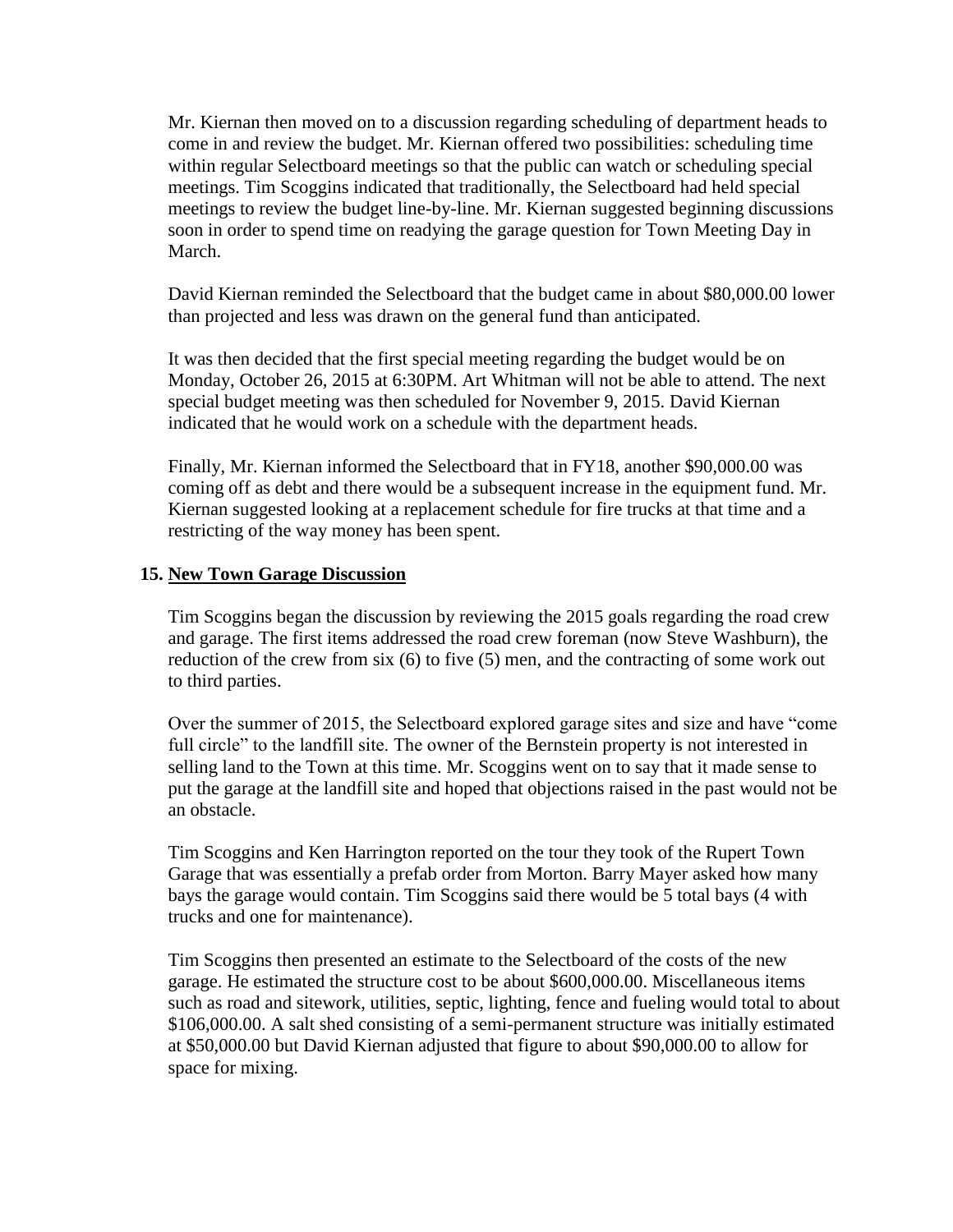Mr. Kiernan then moved on to a discussion regarding scheduling of department heads to come in and review the budget. Mr. Kiernan offered two possibilities: scheduling time within regular Selectboard meetings so that the public can watch or scheduling special meetings. Tim Scoggins indicated that traditionally, the Selectboard had held special meetings to review the budget line-by-line. Mr. Kiernan suggested beginning discussions soon in order to spend time on readying the garage question for Town Meeting Day in March.

David Kiernan reminded the Selectboard that the budget came in about \$80,000.00 lower than projected and less was drawn on the general fund than anticipated.

It was then decided that the first special meeting regarding the budget would be on Monday, October 26, 2015 at 6:30PM. Art Whitman will not be able to attend. The next special budget meeting was then scheduled for November 9, 2015. David Kiernan indicated that he would work on a schedule with the department heads.

Finally, Mr. Kiernan informed the Selectboard that in FY18, another \$90,000.00 was coming off as debt and there would be a subsequent increase in the equipment fund. Mr. Kiernan suggested looking at a replacement schedule for fire trucks at that time and a restricting of the way money has been spent.

#### **15. New Town Garage Discussion**

Tim Scoggins began the discussion by reviewing the 2015 goals regarding the road crew and garage. The first items addressed the road crew foreman (now Steve Washburn), the reduction of the crew from six (6) to five (5) men, and the contracting of some work out to third parties.

Over the summer of 2015, the Selectboard explored garage sites and size and have "come full circle" to the landfill site. The owner of the Bernstein property is not interested in selling land to the Town at this time. Mr. Scoggins went on to say that it made sense to put the garage at the landfill site and hoped that objections raised in the past would not be an obstacle.

Tim Scoggins and Ken Harrington reported on the tour they took of the Rupert Town Garage that was essentially a prefab order from Morton. Barry Mayer asked how many bays the garage would contain. Tim Scoggins said there would be 5 total bays (4 with trucks and one for maintenance).

Tim Scoggins then presented an estimate to the Selectboard of the costs of the new garage. He estimated the structure cost to be about \$600,000.00. Miscellaneous items such as road and sitework, utilities, septic, lighting, fence and fueling would total to about \$106,000.00. A salt shed consisting of a semi-permanent structure was initially estimated at \$50,000.00 but David Kiernan adjusted that figure to about \$90,000.00 to allow for space for mixing.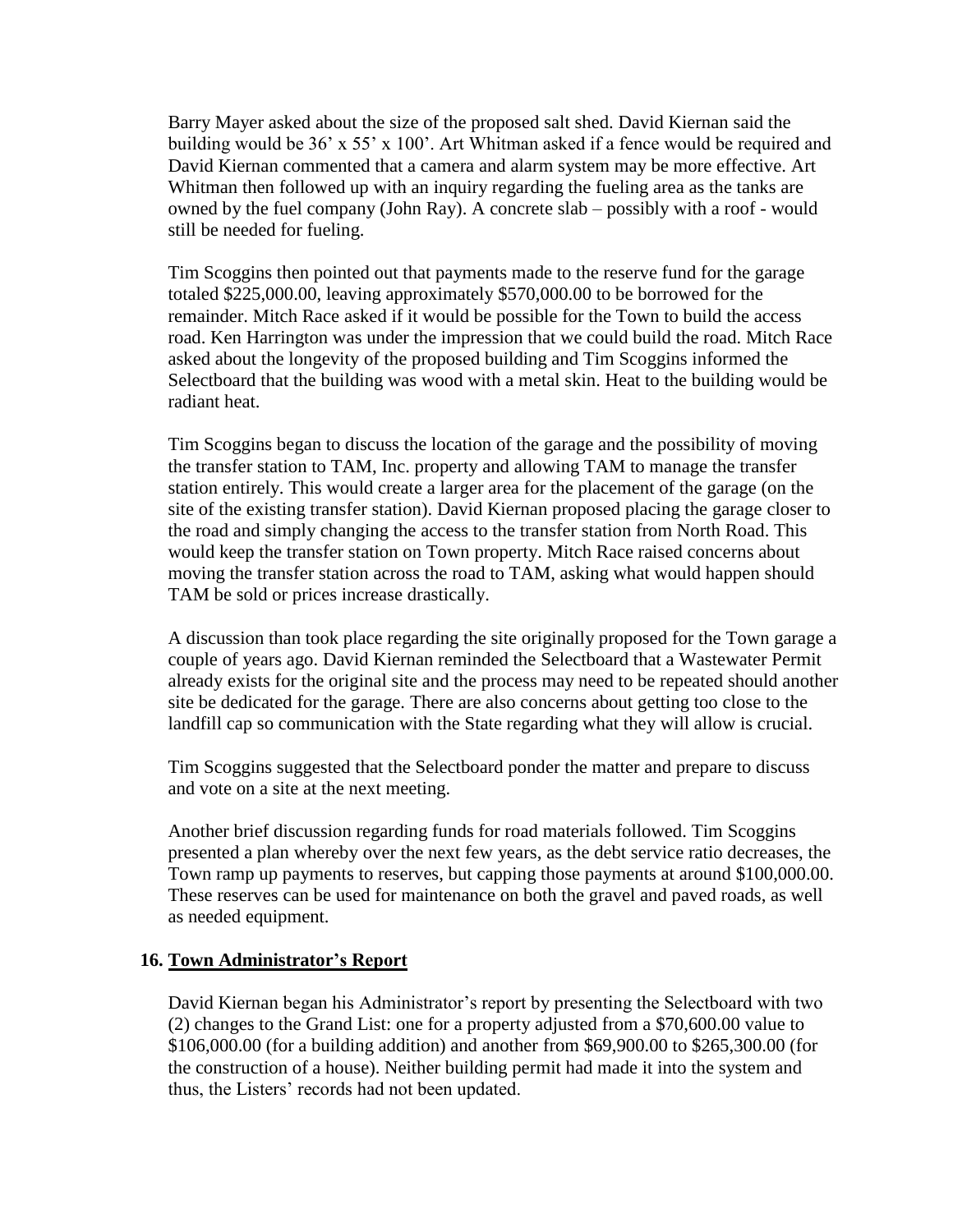Barry Mayer asked about the size of the proposed salt shed. David Kiernan said the building would be 36' x 55' x 100'. Art Whitman asked if a fence would be required and David Kiernan commented that a camera and alarm system may be more effective. Art Whitman then followed up with an inquiry regarding the fueling area as the tanks are owned by the fuel company (John Ray). A concrete slab – possibly with a roof - would still be needed for fueling.

Tim Scoggins then pointed out that payments made to the reserve fund for the garage totaled \$225,000.00, leaving approximately \$570,000.00 to be borrowed for the remainder. Mitch Race asked if it would be possible for the Town to build the access road. Ken Harrington was under the impression that we could build the road. Mitch Race asked about the longevity of the proposed building and Tim Scoggins informed the Selectboard that the building was wood with a metal skin. Heat to the building would be radiant heat.

Tim Scoggins began to discuss the location of the garage and the possibility of moving the transfer station to TAM, Inc. property and allowing TAM to manage the transfer station entirely. This would create a larger area for the placement of the garage (on the site of the existing transfer station). David Kiernan proposed placing the garage closer to the road and simply changing the access to the transfer station from North Road. This would keep the transfer station on Town property. Mitch Race raised concerns about moving the transfer station across the road to TAM, asking what would happen should TAM be sold or prices increase drastically.

A discussion than took place regarding the site originally proposed for the Town garage a couple of years ago. David Kiernan reminded the Selectboard that a Wastewater Permit already exists for the original site and the process may need to be repeated should another site be dedicated for the garage. There are also concerns about getting too close to the landfill cap so communication with the State regarding what they will allow is crucial.

Tim Scoggins suggested that the Selectboard ponder the matter and prepare to discuss and vote on a site at the next meeting.

Another brief discussion regarding funds for road materials followed. Tim Scoggins presented a plan whereby over the next few years, as the debt service ratio decreases, the Town ramp up payments to reserves, but capping those payments at around \$100,000.00. These reserves can be used for maintenance on both the gravel and paved roads, as well as needed equipment.

#### **16. Town Administrator's Report**

David Kiernan began his Administrator's report by presenting the Selectboard with two (2) changes to the Grand List: one for a property adjusted from a \$70,600.00 value to \$106,000.00 (for a building addition) and another from \$69,900.00 to \$265,300.00 (for the construction of a house). Neither building permit had made it into the system and thus, the Listers' records had not been updated.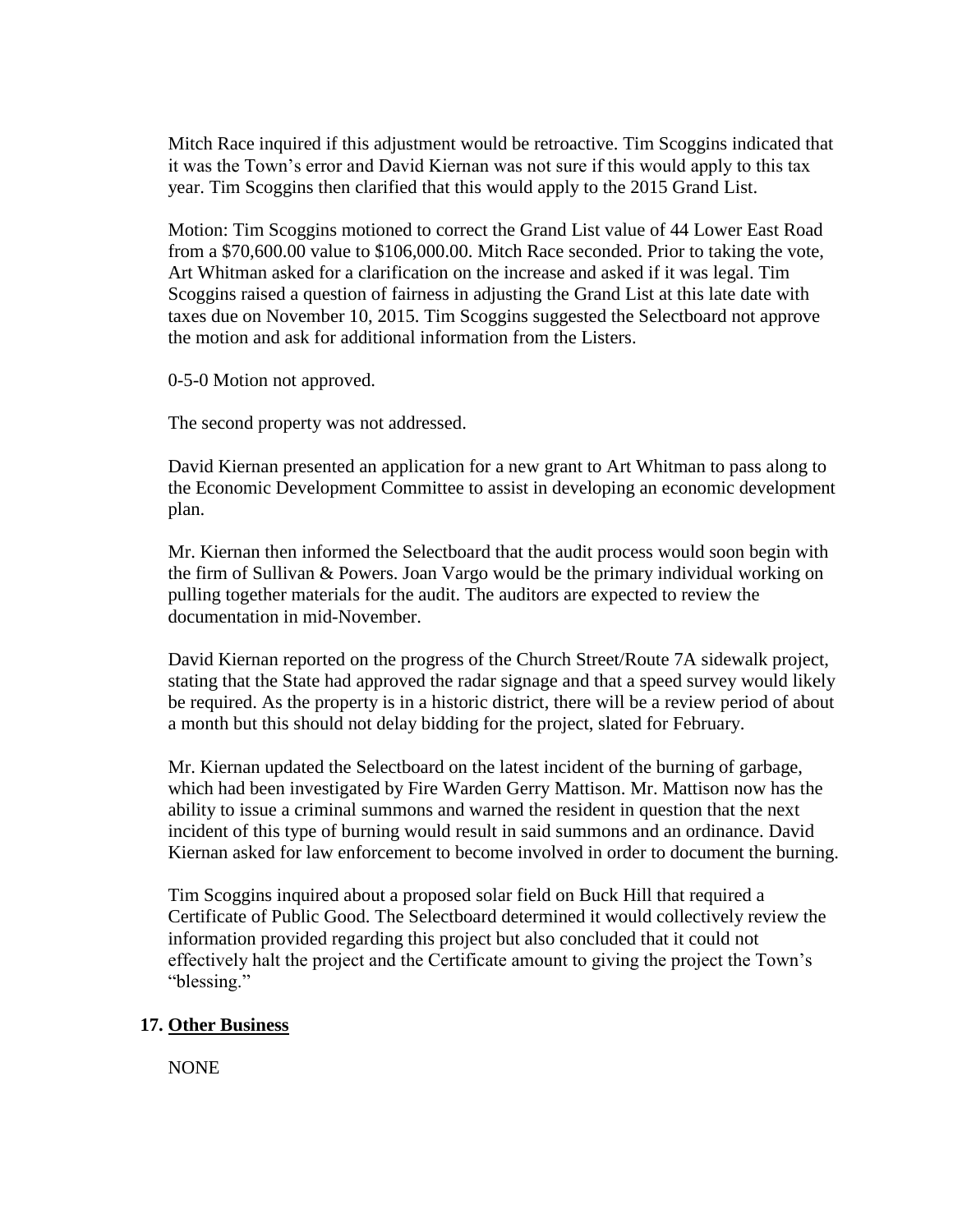Mitch Race inquired if this adjustment would be retroactive. Tim Scoggins indicated that it was the Town's error and David Kiernan was not sure if this would apply to this tax year. Tim Scoggins then clarified that this would apply to the 2015 Grand List.

Motion: Tim Scoggins motioned to correct the Grand List value of 44 Lower East Road from a \$70,600.00 value to \$106,000.00. Mitch Race seconded. Prior to taking the vote, Art Whitman asked for a clarification on the increase and asked if it was legal. Tim Scoggins raised a question of fairness in adjusting the Grand List at this late date with taxes due on November 10, 2015. Tim Scoggins suggested the Selectboard not approve the motion and ask for additional information from the Listers.

0-5-0 Motion not approved.

The second property was not addressed.

David Kiernan presented an application for a new grant to Art Whitman to pass along to the Economic Development Committee to assist in developing an economic development plan.

Mr. Kiernan then informed the Selectboard that the audit process would soon begin with the firm of Sullivan & Powers. Joan Vargo would be the primary individual working on pulling together materials for the audit. The auditors are expected to review the documentation in mid-November.

David Kiernan reported on the progress of the Church Street/Route 7A sidewalk project, stating that the State had approved the radar signage and that a speed survey would likely be required. As the property is in a historic district, there will be a review period of about a month but this should not delay bidding for the project, slated for February.

Mr. Kiernan updated the Selectboard on the latest incident of the burning of garbage, which had been investigated by Fire Warden Gerry Mattison. Mr. Mattison now has the ability to issue a criminal summons and warned the resident in question that the next incident of this type of burning would result in said summons and an ordinance. David Kiernan asked for law enforcement to become involved in order to document the burning.

Tim Scoggins inquired about a proposed solar field on Buck Hill that required a Certificate of Public Good. The Selectboard determined it would collectively review the information provided regarding this project but also concluded that it could not effectively halt the project and the Certificate amount to giving the project the Town's "blessing."

#### **17. Other Business**

NONE